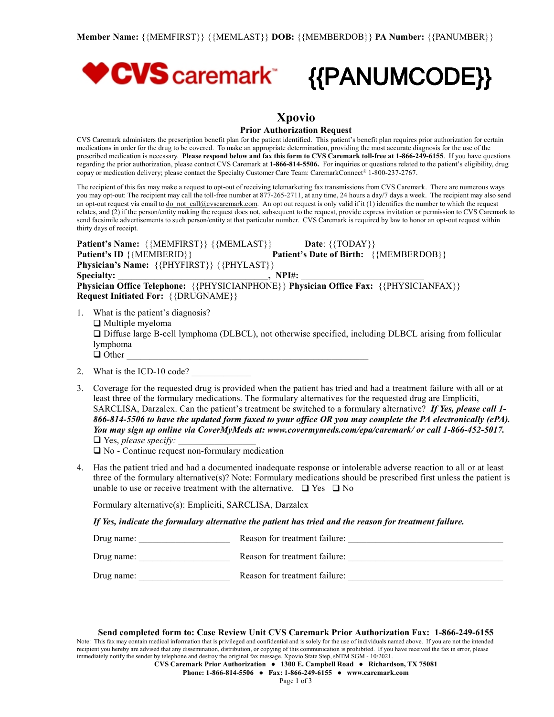

# **Xpovio**

#### **Prior Authorization Request**

CVS Caremark administers the prescription benefit plan for the patient identified. This patient's benefit plan requires prior authorization for certain medications in order for the drug to be covered. To make an appropriate determination, providing the most accurate diagnosis for the use of the prescribed medication is necessary. Please respond below and fax this form to CVS Caremark toll-free at 1-866-249-6155. If you have questions regarding the prior authorization, please contact CVS Caremark at **1-866-814-5506.** For inquiries or questions related to the patient's eligibility, drug copay or medication delivery; please contact the Specialty Customer Care Team: CaremarkConnect® 1-800-237-2767.

The recipient of this fax may make a request to opt-out of receiving telemarketing fax transmissions from CVS Caremark. There are numerous ways you may opt-out: The recipient may call the toll-free number at 877-265-2711, at any time, 24 hours a day/7 days a week. The recipient may also send an opt-out request via email to [do\\_not\\_call@cvscaremark.com](mailto:do_not_call@cvscaremark.com). An opt out request is only valid if it (1) identifies the number to which the request relates, and (2) if the person/entity making the request does not, subsequent to the request, provide express invitation or permission to CVS Caremark to send facsimile advertisements to such person/entity at that particular number. CVS Caremark is required by law to honor an opt-out request within thirty days of receipt.

**Patient's Name:**  $\{ \{ \text{MEMFIRST} \} \}$   $\{ \{ \text{MEMLAST} \} \}$  **Date:**  $\{ \{ \text{TDAY} \}$ **Patient's ID** {{MEMBERID}} **Patient's Date** of **Birth:** {{MEMBERDOB}} **Physician's Name:** {{PHYFIRST}} {{PHYLAST}} **Specialty: \_\_\_\_\_\_\_\_\_\_\_\_\_\_\_\_\_\_\_\_\_\_\_\_\_\_\_\_\_\_\_\_\_, NPI#:** \_\_\_\_\_\_\_\_\_\_\_\_\_\_\_\_\_\_\_\_\_\_\_\_\_\_\_ **Physician Office Telephone:** {{PHYSICIANPHONE}} **Physician Office Fax:** {{PHYSICIANFAX}} **Request Initiated For:** {{DRUGNAME}}

- 1. What is the patient's diagnosis?  $\Box$  Multiple myeloma  $\Box$  Diffuse large B-cell lymphoma (DLBCL), not otherwise specified, including DLBCL arising from follicular lymphoma  $\Box$  Other
- 2. What is the ICD-10 code?
- 3. Coverage for the requested drug is provided when the patient has tried and had a treatment failure with all or at least three of the formulary medications. The formulary alternatives for the requested drug are Empliciti, SARCLISA, Darzalex. Can the patient's treatment be switched to a formulary alternative? *If Yes, please call 1-* 866-814-5506 to have the updated form faxed to your office OR you may complete the PA electronically (ePA). *You may sign up online via CoverMyMeds at: www.covermymeds.com/epa/caremark/ or call 1-866-452-5017.* □ Yes, *please specify*:

 $\Box$  No - Continue request non-formulary medication

4. Has the patient tried and had a documented inadequate response or intolerable adverse reaction to all or at least three of the formulary alternative(s)? Note: Formulary medications should be prescribed first unless the patient is unable to use or receive treatment with the alternative.  $\Box$  Yes  $\Box$  No

Formulary alternative(s): Empliciti, SARCLISA, Darzalex

*If Yes, indicate the formulary alternative the patient has tried and the reason for treatment failure.*

| Drug name: | Reason for treatment failure: |
|------------|-------------------------------|
| Drug name: | Reason for treatment failure: |
| Drug name: | Reason for treatment failure: |

**Send completed form to: Case Review Unit CVS Caremark Prior Authorization Fax: 1-866-249-6155**

Note: This fax may contain medical information that is privileged and confidential and is solely for the use of individuals named above. If you are not the intended recipient you hereby are advised that any dissemination, distribution, or copying of this communication is prohibited. If you have received the fax in error, please immediately notify the sender by telephone and destroy the original fax message. Xpovio State Step, sNTM SGM - 10/2021.

**CVS Caremark Prior Authorization ● 1300 E. Campbell Road ● Richardson, TX 75081**

**Phone: 1-866-814-5506 ● Fax: 1-866-249-6155 ● [www.caremark.com](http://www.caremark.com)**

Page 1 of 3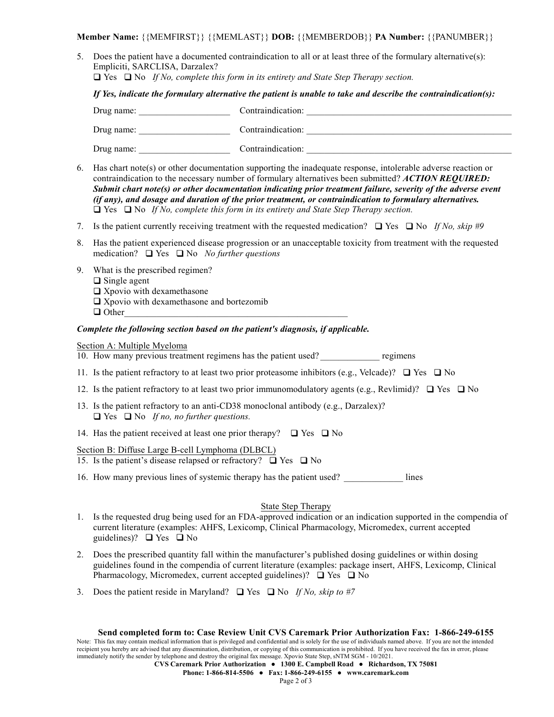**Member Name:** {{MEMFIRST}} {{MEMLAST}} **DOB:** {{MEMBERDOB}} **PA Number:** {{PANUMBER}}

5. Does the patient have a documented contraindication to all or at least three of the formulary alternative(s): Empliciti, SARCLISA, Darzalex?

q Yes q No *If No, complete this form in its entirety and State Step Therapy section.*

*If Yes, indicate the formulary alternative the patient is unable to take and describe the contraindication(s):*

| Drug name: | Contraindication: |
|------------|-------------------|
| Drug name: | Contraindication: |
| Drug name: | Contraindication: |

- 6. Has chart note(s) or other documentation supporting the inadequate response, intolerable adverse reaction or contraindication to the necessary number of formulary alternatives been submitted? *ACTION REQUIRED: Submit chart note(s) or other documentation indicating prior treatment failure, severity of the adverse event (if any), and dosage and duration of the prior treatment, or contraindication to formulary alternatives.*  $\Box$  Yes  $\Box$  No *If No, complete this form in its entirety and State Step Therapy section.*
- 7. Is the patient currently receiving treatment with the requested medication?  $\Box$  Yes  $\Box$  No *If No, skip* #9
- 8. Has the patient experienced disease progression or an unacceptable toxicity from treatment with the requested medication?  $\Box$  Yes  $\Box$  No *No further questions*
- 9. What is the prescribed regimen?
	- $\Box$  Single agent
	- $\square$  Xpovio with dexamethasone
	- $\square$  Xpovio with dexamethasone and bortezomib
	- $\Box$  Other

## *Complete the following section based on the patient's diagnosis, if applicable.*

## Section A: Multiple Myeloma

10. How many previous treatment regimens has the patient used? \_\_\_\_\_\_\_\_\_\_\_\_\_ regimens

- 11. Is the patient refractory to at least two prior proteasome inhibitors (e.g., Velcade)?  $\Box$  Yes  $\Box$  No
- 12. Is the patient refractory to at least two prior immunomodulatory agents (e.g., Revlimid)?  $\Box$  Yes  $\Box$  No
- 13. Is the patient refractory to an anti-CD38 monoclonal antibody (e.g., Darzalex)?  $\Box$  Yes  $\Box$  No *If no, no further questions.*
- 14. Has the patient received at least one prior therapy?  $\Box$  Yes  $\Box$  No

Section B: Diffuse Large B-cell Lymphoma (DLBCL)

- 15. Is the patient's disease relapsed or refractory?  $\Box$  Yes  $\Box$  No
- 16. How many previous lines of systemic therapy has the patient used? lines

# State Step Therapy

- 1. Is the requested drug being used for an FDA-approved indication or an indication supported in the compendia of current literature (examples: AHFS, Lexicomp, Clinical Pharmacology, Micromedex, current accepted guidelines)?  $\Box$  Yes  $\Box$  No
- 2. Does the prescribed quantity fall within the manufacturer's published dosing guidelines or within dosing guidelines found in the compendia of current literature (examples: package insert, AHFS, Lexicomp, Clinical Pharmacology, Micromedex, current accepted guidelines)?  $\Box$  Yes  $\Box$  No
- 3. Does the patient reside in Maryland?  $\Box$  Yes  $\Box$  No *If No, skip to* #7

#### **Send completed form to: Case Review Unit CVS Caremark Prior Authorization Fax: 1-866-249-6155**

Note: This fax may contain medical information that is privileged and confidential and is solely for the use of individuals named above. If you are not the intended recipient you hereby are advised that any dissemination, distribution, or copying of this communication is prohibited. If you have received the fax in error, please immediately notify the sender by telephone and destroy the original fax message. Xpovio State Step, sNTM SGM - 10/2021.

**CVS Caremark Prior Authorization ● 1300 E. Campbell Road ● Richardson, TX 75081**

**Phone: 1-866-814-5506 ● Fax: 1-866-249-6155 ● [www.caremark.com](http://www.caremark.com)**